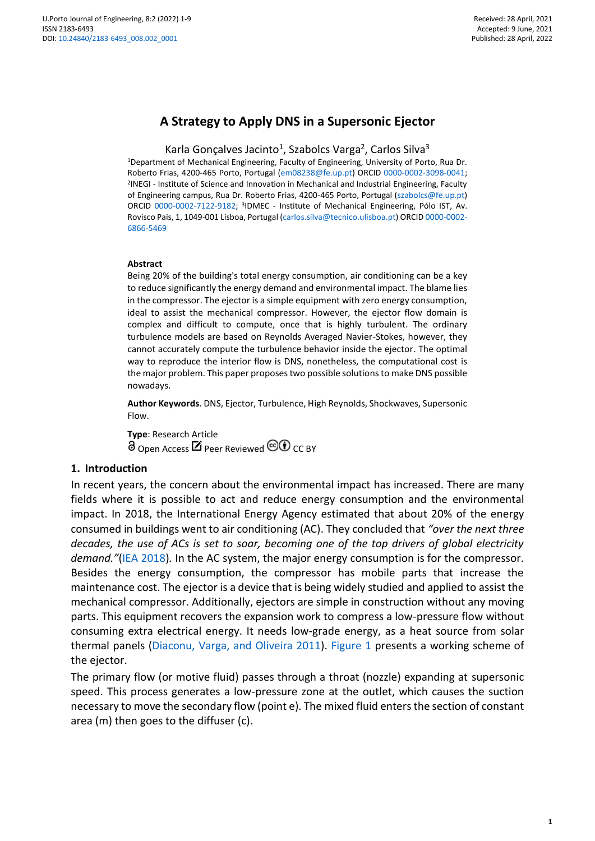# **A Strategy to Apply DNS in a Supersonic Ejector**

Karla Gonçalves Jacinto<sup>1</sup>, Szabolcs Varga<sup>2</sup>, Carlos Silva<sup>3</sup>

<sup>1</sup>Department of Mechanical Engineering, Faculty of Engineering, University of Porto, Rua Dr. Roberto Frias, 4200-465 Porto, Portugal [\(em08238@fe.up.pt\)](mailto:em08238@fe.up.pt) ORCID [0000-0002-3098-0041;](https://orcid.org/0000-0002-3098-0041)  2 INEGI - Institute of Science and Innovation in Mechanical and Industrial Engineering, Faculty of Engineering campus, Rua Dr. Roberto Frias, 4200-465 Porto, Portugal [\(szabolcs@fe.up.pt\)](mailto:szabolcs@fe.up.pt) ORCID [0000-0002-7122-9182;](https://orcid.org/0000-0002-7122-9182) <sup>3</sup>IDMEC - Institute of Mechanical Engineering, Pólo IST, Av. Rovisco Pais, 1, 1049-001 Lisboa, Portugal [\(carlos.silva@tecnico.ulisboa.pt\)](mailto:carlos.silva@tecnico.ulisboa.pt) ORCI[D 0000-0002-](https://orcid.org/0000-0002-6866-5469) [6866-5469](https://orcid.org/0000-0002-6866-5469)

#### **Abstract**

Being 20% of the building's total energy consumption, air conditioning can be a key to reduce significantly the energy demand and environmental impact. The blame lies in the compressor. The ejector is a simple equipment with zero energy consumption, ideal to assist the mechanical compressor. However, the ejector flow domain is complex and difficult to compute, once that is highly turbulent. The ordinary turbulence models are based on Reynolds Averaged Navier-Stokes, however, they cannot accurately compute the turbulence behavior inside the ejector. The optimal way to reproduce the interior flow is DNS, nonetheless, the computational cost is the major problem. This paper proposes two possible solutions to make DNS possible nowadays.

**Author Keywords**. DNS, Ejector, Turbulence, High Reynolds, Shockwaves, Supersonic Flow.

**Type**: Research Article  $\overline{\partial}_{\text{Open Access}}$   $\mathbb{Z}$  Peer Reviewed  $\textcircled{1}$  CC BY

### **1. Introduction**

In recent years, the concern about the environmental impact has increased. There are many fields where it is possible to act and reduce energy consumption and the environmental impact. In 2018, the International Energy Agency estimated that about 20% of the energy consumed in buildings went to air conditioning (AC). They concluded that *"over the next three decades, the use of ACs is set to soar, becoming one of the top drivers of global electricity demand."*(IEA [2018\)](#page-7-0)*.* In the AC system, the major energy consumption is for the compressor. Besides the energy consumption, the compressor has mobile parts that increase the maintenance cost. The ejector is a device that is being widely studied and applied to assist the mechanical compressor. Additionally, ejectors are simple in construction without any moving parts. This equipment recovers the expansion work to compress a low-pressure flow without consuming extra electrical energy. It needs low-grade energy, as a heat source from solar thermal panels [\(Diaconu, Varga, and Oliveira 2011\)](#page-6-0). [Figure 1](#page-1-0) presents a working scheme of the ejector.

The primary flow (or motive fluid) passes through a throat (nozzle) expanding at supersonic speed. This process generates a low-pressure zone at the outlet, which causes the suction necessary to move the secondary flow (point e). The mixed fluid enters the section of constant area (m) then goes to the diffuser (c).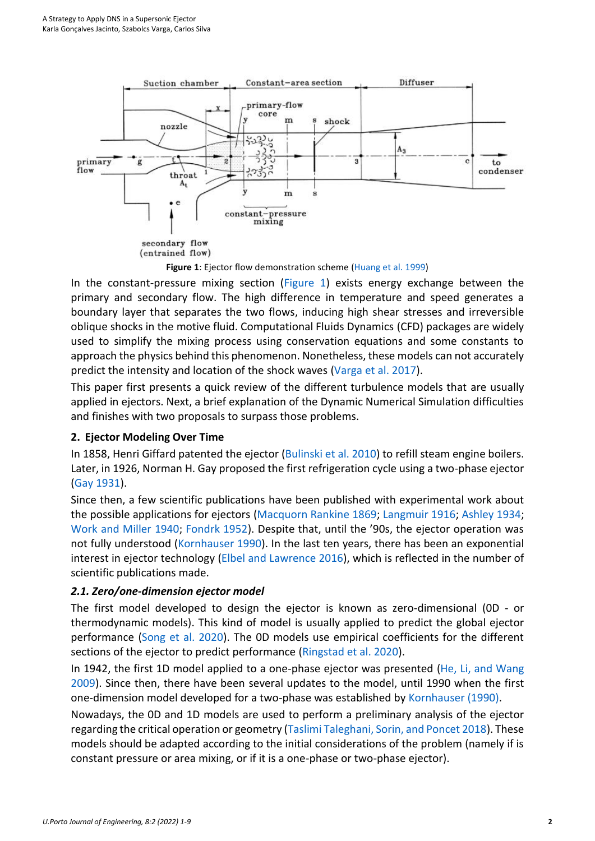

<span id="page-1-0"></span>In the constant-pressure mixing section [\(Figure 1\)](#page-1-0) exists energy exchange between the primary and secondary flow. The high difference in temperature and speed generates a boundary layer that separates the two flows, inducing high shear stresses and irreversible oblique shocks in the motive fluid. Computational Fluids Dynamics (CFD) packages are widely used to simplify the mixing process using conservation equations and some constants to approach the physics behind this phenomenon. Nonetheless, these models can not accurately predict the intensity and location of the shock waves [\(Varga et al. 2017\)](#page-8-0).

This paper first presents a quick review of the different turbulence models that are usually applied in ejectors. Next, a brief explanation of the Dynamic Numerical Simulation difficulties and finishes with two proposals to surpass those problems.

## **2. Ejector Modeling Over Time**

In 1858, Henri Giffard patented the ejector [\(Bulinski et al. 2010\)](#page-6-1) to refill steam engine boilers. Later, in 1926, Norman H. Gay proposed the first refrigeration cycle using a two-phase ejector [\(Gay 1931\)](#page-7-2).

Since then, a few scientific publications have been published with experimental work about the possible applications for ejectors [\(Macquorn Rankine 1869;](#page-7-3) [Langmuir 1916;](#page-7-4) [Ashley 1934;](#page-6-2) [Work and Miller 1940;](#page-8-1) [Fondrk 1952\)](#page-6-3). Despite that, until the '90s, the ejector operation was not fully understood [\(Kornhauser 1990\)](#page-7-5). In the last ten years, there has been an exponential interest in ejector technology [\(Elbel and Lawrence 2016\)](#page-6-4), which is reflected in the number of scientific publications made.

## *2.1. Zero/one-dimension ejector model*

The first model developed to design the ejector is known as zero-dimensional (0D - or thermodynamic models). This kind of model is usually applied to predict the global ejector performance [\(Song et al. 2020\)](#page-7-6). The 0D models use empirical coefficients for the different sections of the ejector to predict performance [\(Ringstad et al. 2020\)](#page-7-7).

In 1942, the first 1D model applied to a one-phase ejector was presented [\(He, Li, and Wang](#page-7-8)  [2009\)](#page-7-8). Since then, there have been several updates to the model, until 1990 when the first one-dimension model developed for a two-phase was established b[y Kornhauser \(1990\).](#page-7-5)

Nowadays, the 0D and 1D models are used to perform a preliminary analysis of the ejector regarding the critical operation or geometry [\(Taslimi Taleghani, Sorin, and Poncet 2018\)](#page-7-9). These models should be adapted according to the initial considerations of the problem (namely if is constant pressure or area mixing, or if it is a one-phase or two-phase ejector).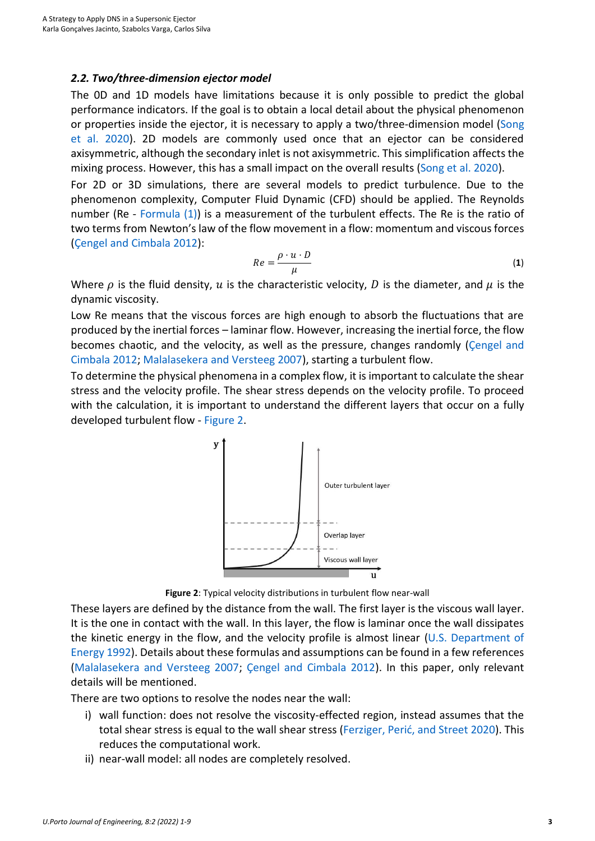### *2.2. Two/three-dimension ejector model*

The 0D and 1D models have limitations because it is only possible to predict the global performance indicators. If the goal is to obtain a local detail about the physical phenomenon or properties inside the ejector, it is necessary to apply a two/three-dimension model (Song [et al. 2020\)](#page-7-6). 2D models are commonly used once that an ejector can be considered axisymmetric, although the secondary inlet is not axisymmetric. This simplification affects the mixing process. However, this has a small impact on the overall results [\(Song et al. 2020\)](#page-7-6).

For 2D or 3D simulations, there are several models to predict turbulence. Due to the phenomenon complexity, Computer Fluid Dynamic (CFD) should be applied. The Reynolds number (Re - [Formula](#page-2-0) (1)) is a measurement of the turbulent effects. The Re is the ratio of two terms from Newton's law of the flow movement in a flow: momentum and viscous forces [\(Çengel and Cimbala 2012\)](#page-6-5):

<span id="page-2-0"></span>
$$
Re = \frac{\rho \cdot u \cdot D}{\mu} \tag{1}
$$

Where  $\rho$  is the fluid density,  $u$  is the characteristic velocity,  $D$  is the diameter, and  $\mu$  is the dynamic viscosity.

Low Re means that the viscous forces are high enough to absorb the fluctuations that are produced by the inertial forces – laminar flow. However, increasing the inertial force, the flow becomes chaotic, and the velocity, as well as the pressure, changes randomly [\(Çengel and](#page-6-5)  [Cimbala 2012;](#page-6-5) [Malalasekera and Versteeg 2007\)](#page-7-10), starting a turbulent flow.

To determine the physical phenomena in a complex flow, it is important to calculate the shear stress and the velocity profile. The shear stress depends on the velocity profile. To proceed with the calculation, it is important to understand the different layers that occur on a fully developed turbulent flow - [Figure 2.](#page-2-1)



**Figure 2**: Typical velocity distributions in turbulent flow near-wall

<span id="page-2-1"></span>These layers are defined by the distance from the wall. The first layer is the viscous wall layer. It is the one in contact with the wall. In this layer, the flow is laminar once the wall dissipates the kinetic energy in the flow, and the velocity profile is almost linear [\(U.S. Department of](#page-7-11)  [Energy 1992\)](#page-7-11). Details about these formulas and assumptions can be found in a few references [\(Malalasekera and Versteeg 2007;](#page-7-10) [Çengel and Cimbala 2012\)](#page-6-5). In this paper, only relevant details will be mentioned.

There are two options to resolve the nodes near the wall:

- i) wall function: does not resolve the viscosity-effected region, instead assumes that the total shear stress is equal to the wall shear stress ([Ferziger, Perić, and Street 2020](#page-6-6)). This reduces the computational work.
- ii) near-wall model: all nodes are completely resolved.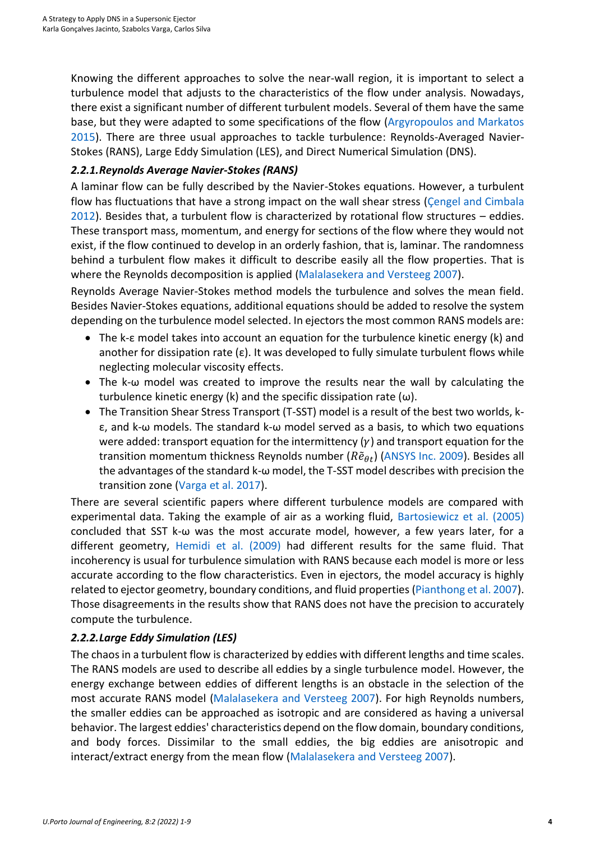Knowing the different approaches to solve the near-wall region, it is important to select a turbulence model that adjusts to the characteristics of the flow under analysis. Nowadays, there exist a significant number of different turbulent models. Several of them have the same base, but they were adapted to some specifications of the flow [\(Argyropoulos and Markatos](#page-6-7)  [2015\)](#page-6-7). There are three usual approaches to tackle turbulence: Reynolds-Averaged Navier-Stokes (RANS), Large Eddy Simulation (LES), and Direct Numerical Simulation (DNS).

## *2.2.1.Reynolds Average Navier-Stokes (RANS)*

A laminar flow can be fully described by the Navier-Stokes equations. However, a turbulent flow has fluctuations that have a strong impact on the wall shear stress (Cengel and Cimbala [2012\)](#page-6-5). Besides that, a turbulent flow is characterized by rotational flow structures – eddies. These transport mass, momentum, and energy for sections of the flow where they would not exist, if the flow continued to develop in an orderly fashion, that is, laminar. The randomness behind a turbulent flow makes it difficult to describe easily all the flow properties. That is where the Reynolds decomposition is applied [\(Malalasekera and Versteeg 2007\)](#page-7-10).

Reynolds Average Navier-Stokes method models the turbulence and solves the mean field. Besides Navier-Stokes equations, additional equations should be added to resolve the system depending on the turbulence model selected. In ejectors the most common RANS models are:

- The k-ε model takes into account an equation for the turbulence kinetic energy (k) and another for dissipation rate ( $\varepsilon$ ). It was developed to fully simulate turbulent flows while neglecting molecular viscosity effects.
- The k-ω model was created to improve the results near the wall by calculating the turbulence kinetic energy (k) and the specific dissipation rate  $(\omega)$ .
- The Transition Shear Stress Transport (T-SST) model is a result of the best two worlds, kε, and k-ω models. The standard k-ω model served as a basis, to which two equations were added: transport equation for the intermittency  $(y)$  and transport equation for the transition momentum thickness Reynolds number ( $R\tilde{e}_{dt}$ ) [\(ANSYS Inc. 2009\)](#page-6-8). Besides all the advantages of the standard k-ω model, the T-SST model describes with precision the transition zone [\(Varga et al. 2017\)](#page-8-0).

There are several scientific papers where different turbulence models are compared with experimental data. Taking the example of air as a working fluid, [Bartosiewicz et al. \(2005\)](#page-6-9) concluded that SST k-ω was the most accurate model, however, a few years later, for a different geometry, [Hemidi et al. \(2009\)](#page-7-12) had different results for the same fluid. That incoherency is usual for turbulence simulation with RANS because each model is more or less accurate according to the flow characteristics. Even in ejectors, the model accuracy is highly related to ejector geometry, boundary conditions, and fluid properties [\(Pianthong et al. 2007\)](#page-7-13). Those disagreements in the results show that RANS does not have the precision to accurately compute the turbulence.

## *2.2.2.Large Eddy Simulation (LES)*

The chaos in a turbulent flow is characterized by eddies with different lengths and time scales. The RANS models are used to describe all eddies by a single turbulence model. However, the energy exchange between eddies of different lengths is an obstacle in the selection of the most accurate RANS model [\(Malalasekera and Versteeg 2007\)](#page-7-10). For high Reynolds numbers, the smaller eddies can be approached as isotropic and are considered as having a universal behavior. The largest eddies' characteristics depend on the flow domain, boundary conditions, and body forces. Dissimilar to the small eddies, the big eddies are anisotropic and interact/extract energy from the mean flow [\(Malalasekera and Versteeg 2007\)](#page-7-10).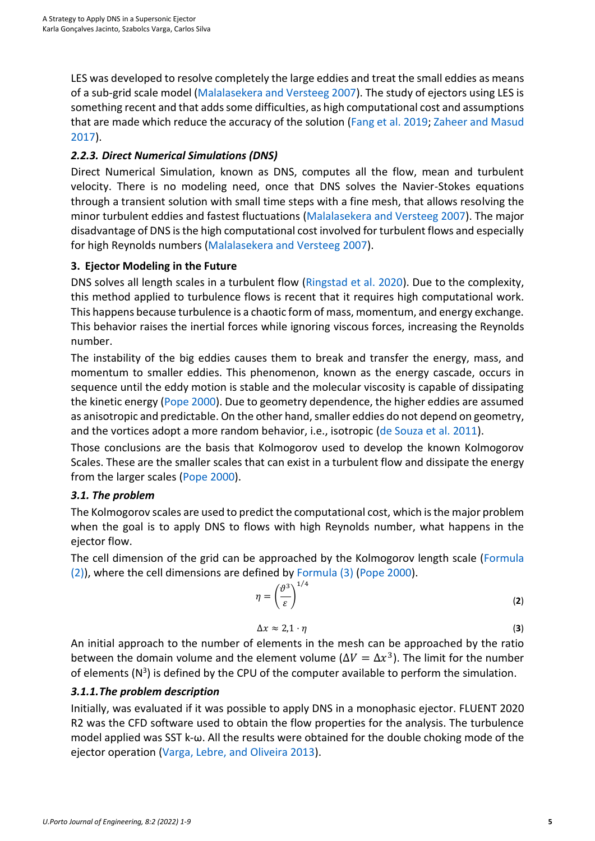LES was developed to resolve completely the large eddies and treat the small eddies as means of a sub-grid scale model [\(Malalasekera and Versteeg 2007\)](#page-7-10). The study of ejectors using LES is something recent and that adds some difficulties, as high computational cost and assumptions that are made which reduce the accuracy of the solution [\(Fang et al. 2019;](#page-6-10) [Zaheer and Masud](#page-8-2)  [2017\)](#page-8-2).

## *2.2.3. Direct Numerical Simulations (DNS)*

Direct Numerical Simulation, known as DNS, computes all the flow, mean and turbulent velocity. There is no modeling need, once that DNS solves the Navier-Stokes equations through a transient solution with small time steps with a fine mesh, that allows resolving the minor turbulent eddies and fastest fluctuations [\(Malalasekera and Versteeg 2007\)](#page-7-10). The major disadvantage of DNS is the high computational cost involved for turbulent flows and especially for high Reynolds numbers [\(Malalasekera and Versteeg 2007\)](#page-7-10).

## **3. Ejector Modeling in the Future**

DNS solves all length scales in a turbulent flow [\(Ringstad et al. 2020\)](#page-7-7). Due to the complexity, this method applied to turbulence flows is recent that it requires high computational work. This happens because turbulence is a chaotic form of mass, momentum, and energy exchange. This behavior raises the inertial forces while ignoring viscous forces, increasing the Reynolds number.

The instability of the big eddies causes them to break and transfer the energy, mass, and momentum to smaller eddies. This phenomenon, known as the energy cascade, occurs in sequence until the eddy motion is stable and the molecular viscosity is capable of dissipating the kinetic energy [\(Pope 2000\)](#page-7-14). Due to geometry dependence, the higher eddies are assumed as anisotropic and predictable. On the other hand, smaller eddies do not depend on geometry, and the vortices adopt a more random behavior, i.e., isotropic [\(de Souza et al. 2011\)](#page-6-11).

Those conclusions are the basis that Kolmogorov used to develop the known Kolmogorov Scales. These are the smaller scales that can exist in a turbulent flow and dissipate the energy from the larger scales [\(Pope 2000\)](#page-7-14).

## *3.1. The problem*

The Kolmogorov scales are used to predict the computational cost, which is the major problem when the goal is to apply DNS to flows with high Reynolds number, what happens in the ejector flow.

The cell dimension of the grid can be approached by the Kolmogorov length scale [\(Formula](#page-4-0) [\(2\)](#page-4-0)), where the cell dimensions are defined by [Formula \(3\)](#page-4-1) [\(Pope 2000\)](#page-7-14).

$$
\eta = \left(\frac{\vartheta^3}{\varepsilon}\right)^{1/4} \tag{2}
$$

<span id="page-4-1"></span><span id="page-4-0"></span>
$$
\Delta x \approx 2.1 \cdot \eta \tag{3}
$$

An initial approach to the number of elements in the mesh can be approached by the ratio between the domain volume and the element volume ( $\Delta V = \Delta x^3$ ). The limit for the number of elements ( $N^3$ ) is defined by the CPU of the computer available to perform the simulation.

## *3.1.1.The problem description*

Initially, was evaluated if it was possible to apply DNS in a monophasic ejector. FLUENT 2020 R2 was the CFD software used to obtain the flow properties for the analysis. The turbulence model applied was SST k-ω. All the results were obtained for the double choking mode of the ejector operation [\(Varga, Lebre, and Oliveira 2013\)](#page-8-3).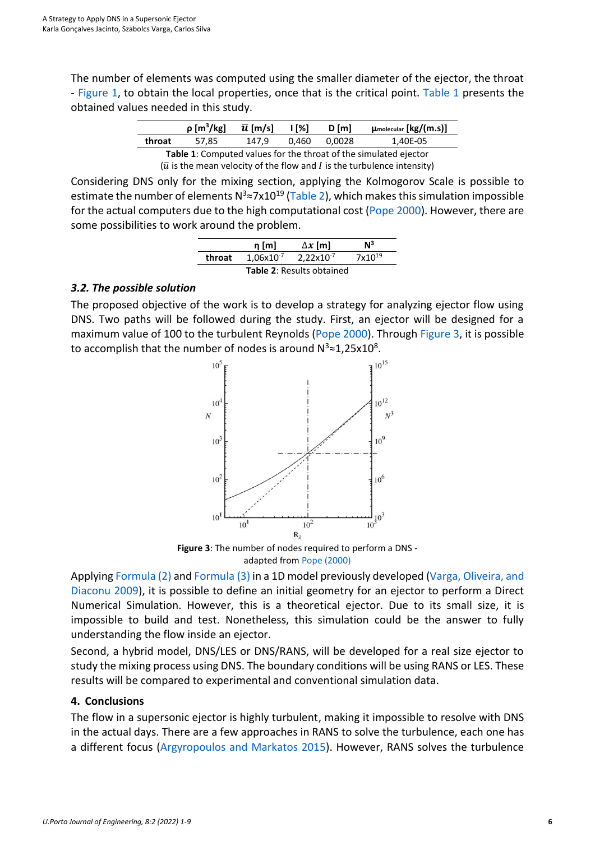The number of elements was computed using the smaller diameter of the ejector, the throat - [Figure 1,](#page-1-0) to obtain the local properties, once that is the critical point. [Table 1](#page-5-0) presents the obtained values needed in this study.

|                                                                                 | $\rho$ [m <sup>3</sup> /kg] | $\bar{u}$ [m/s] | <u> 1 [%]</u> | $D$ [m] | $\mu_{\text{molecular}}$ [kg/(m.s)] |  |  |
|---------------------------------------------------------------------------------|-----------------------------|-----------------|---------------|---------|-------------------------------------|--|--|
| throat                                                                          | 57.85                       | 147.9           | 0.460         | 0.0028  | 1.40E-05                            |  |  |
| Table 1: Computed values for the throat of the simulated ejector                |                             |                 |               |         |                                     |  |  |
| $(\bar{u})$ is the mean velocity of the flow and I is the turbulence intensity) |                             |                 |               |         |                                     |  |  |

<span id="page-5-0"></span>Considering DNS only for the mixing section, applying the Kolmogorov Scale is possible to estimate the number of elements N<sup>3</sup>≈7x10<sup>19</sup> [\(Table 2\)](#page-5-1), which makes this simulation impossible for the actual computers due to the high computational cost [\(Pope 2000\)](#page-7-14). However, there are some possibilities to work around the problem.

|                                  | $n \, \text{m}$ | $\Delta x$ [m] | $\mathsf{N}^3$     |  |  |
|----------------------------------|-----------------|----------------|--------------------|--|--|
| throat                           | $1,06x10^{-7}$  | $2,22x10^{-7}$ | 7x10 <sup>19</sup> |  |  |
| <b>Table 2: Results obtained</b> |                 |                |                    |  |  |

## <span id="page-5-1"></span>*3.2. The possible solution*

The proposed objective of the work is to develop a strategy for analyzing ejector flow using DNS. Two paths will be followed during the study. First, an ejector will be designed for a maximum value of 100 to the turbulent Reynolds [\(Pope 2000\)](#page-7-14). Through [Figure 3,](#page-5-2) it is possible to accomplish that the number of nodes is around  $N^3 \approx 1,25 \times 10^8$ .



**Figure 3**: The number of nodes required to perform a DNS adapted from [Pope \(2000\)](#page-7-14)

<span id="page-5-2"></span>Applyin[g Formula \(2\)](#page-4-0) and [Formula \(3\)](#page-4-1) in a 1D model previously developed [\(Varga, Oliveira, and](#page-8-4)  [Diaconu 2009\)](#page-8-4), it is possible to define an initial geometry for an ejector to perform a Direct Numerical Simulation. However, this is a theoretical ejector. Due to its small size, it is impossible to build and test. Nonetheless, this simulation could be the answer to fully understanding the flow inside an ejector.

Second, a hybrid model, DNS/LES or DNS/RANS, will be developed for a real size ejector to study the mixing process using DNS. The boundary conditions will be using RANS or LES. These results will be compared to experimental and conventional simulation data.

## **4. Conclusions**

The flow in a supersonic ejector is highly turbulent, making it impossible to resolve with DNS in the actual days. There are a few approaches in RANS to solve the turbulence, each one has a different focus [\(Argyropoulos and Markatos 2015\)](#page-6-7). However, RANS solves the turbulence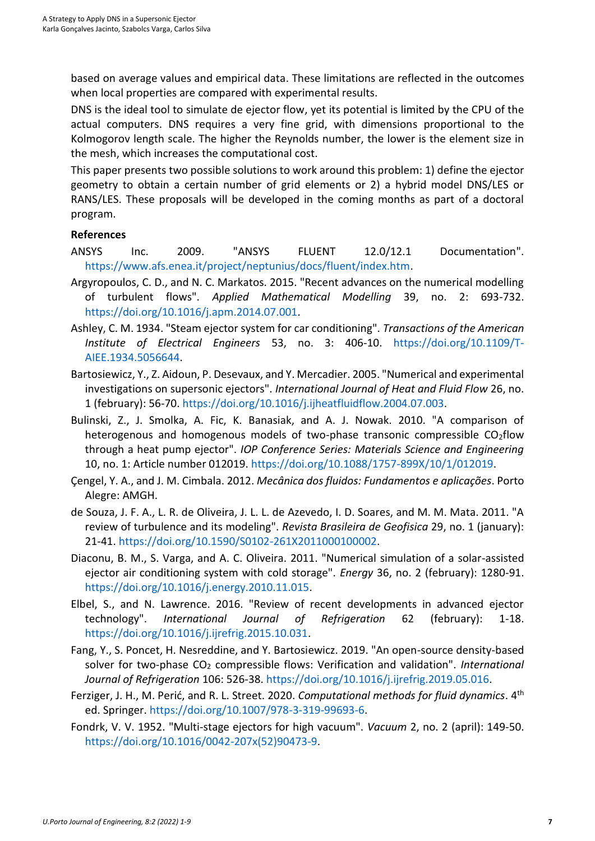based on average values and empirical data. These limitations are reflected in the outcomes when local properties are compared with experimental results.

DNS is the ideal tool to simulate de ejector flow, yet its potential is limited by the CPU of the actual computers. DNS requires a very fine grid, with dimensions proportional to the Kolmogorov length scale. The higher the Reynolds number, the lower is the element size in the mesh, which increases the computational cost.

This paper presents two possible solutions to work around this problem: 1) define the ejector geometry to obtain a certain number of grid elements or 2) a hybrid model DNS/LES or RANS/LES. These proposals will be developed in the coming months as part of a doctoral program.

### **References**

- <span id="page-6-8"></span>ANSYS Inc. 2009. "ANSYS FLUENT 12.0/12.1 Documentation". [https://www.afs.enea.it/project/neptunius/docs/fluent/index.htm.](https://www.afs.enea.it/project/neptunius/docs/fluent/index.htm)
- <span id="page-6-7"></span>Argyropoulos, C. D., and N. C. Markatos. 2015. "Recent advances on the numerical modelling of turbulent flows". *Applied Mathematical Modelling* 39, no. 2: 693-732. https://doi.org/10.1016/j.apm.2014.07.001.
- <span id="page-6-2"></span>Ashley, C. M. 1934. "Steam ejector system for car conditioning". *Transactions of the American Institute of Electrical Engineers* 53, no. 3: 406-10. https://doi.org/10.1109/T-AIEE.1934.5056644.
- <span id="page-6-9"></span>Bartosiewicz, Y., Z. Aidoun, P. Desevaux, and Y. Mercadier. 2005. "Numerical and experimental investigations on supersonic ejectors". *International Journal of Heat and Fluid Flow* 26, no. 1 (february): 56-70. https://doi.org/10.1016/j.ijheatfluidflow.2004.07.003.
- <span id="page-6-1"></span>Bulinski, Z., J. Smolka, A. Fic, K. Banasiak, and A. J. Nowak. 2010. "A comparison of heterogenous and homogenous models of two-phase transonic compressible  $CO<sub>2</sub>flow$ through a heat pump ejector". *IOP Conference Series: Materials Science and Engineering* 10, no. 1: Article number 012019. https://doi.org/10.1088/1757-899X/10/1/012019.
- <span id="page-6-5"></span>Çengel, Y. A., and J. M. Cimbala. 2012. *Mecânica dos fluidos: Fundamentos e aplicações*. Porto Alegre: AMGH.
- <span id="page-6-11"></span>de Souza, J. F. A., L. R. de Oliveira, J. L. L. de Azevedo, I. D. Soares, and M. M. Mata. 2011. "A review of turbulence and its modeling". *Revista Brasileira de Geofisica* 29, no. 1 (january): 21-41. [https://doi.org/10.1590/S0102-261X2011000100002.](https://doi.org/10.1590/S0102-261X2011000100002)
- <span id="page-6-0"></span>Diaconu, B. M., S. Varga, and A. C. Oliveira. 2011. "Numerical simulation of a solar-assisted ejector air conditioning system with cold storage". *Energy* 36, no. 2 (february): 1280-91. https://doi.org/10.1016/j.energy.2010.11.015.
- <span id="page-6-4"></span>Elbel, S., and N. Lawrence. 2016. "Review of recent developments in advanced ejector technology". *International Journal of Refrigeration* 62 (february): 1-18. https://doi.org/10.1016/j.ijrefrig.2015.10.031.
- <span id="page-6-10"></span>Fang, Y., S. Poncet, H. Nesreddine, and Y. Bartosiewicz. 2019. "An open-source density-based solver for two-phase CO<sub>2</sub> compressible flows: Verification and validation". *International Journal of Refrigeration* 106: 526-38. [https://doi.org/10.1016/j.ijrefrig.2019.05.016.](https://doi.org/10.1016/j.ijrefrig.2019.05.016)
- <span id="page-6-6"></span>Ferziger, J. H., M. Perić, and R. L. Street. 2020. *Computational methods for fluid dynamics*. 4th ed. Springer[. https://doi.org/10.1007/978-3-319-99693-6.](https://doi.org/10.1007/978-3-319-99693-6)
- <span id="page-6-3"></span>Fondrk, V. V. 1952. "Multi-stage ejectors for high vacuum". *Vacuum* 2, no. 2 (april): 149-50. [https://doi.org/10.1016/0042-207x\(52\)90473-9.](https://doi.org/10.1016/0042-207x(52)90473-9)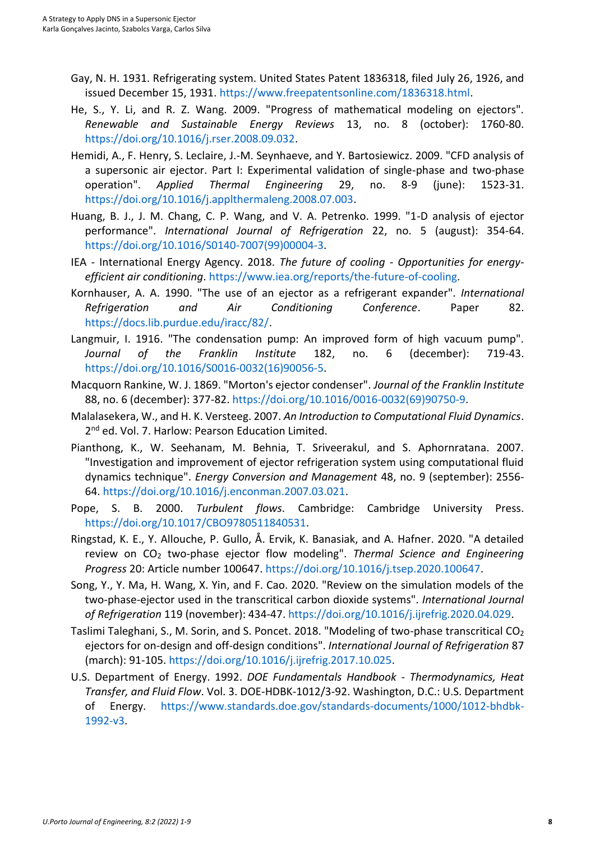- <span id="page-7-2"></span>Gay, N. H. 1931. Refrigerating system. United States Patent 1836318, filed July 26, 1926, and issued December 15, 1931. [https://www.freepatentsonline.com/1836318.html.](https://www.freepatentsonline.com/1836318.html)
- <span id="page-7-8"></span>He, S., Y. Li, and R. Z. Wang. 2009. "Progress of mathematical modeling on ejectors". *Renewable and Sustainable Energy Reviews* 13, no. 8 (october): 1760-80. [https://doi.org/10.1016/j.rser.2008.09.032.](https://doi.org/10.1016/j.rser.2008.09.032)
- <span id="page-7-12"></span>Hemidi, A., F. Henry, S. Leclaire, J.-M. Seynhaeve, and Y. Bartosiewicz. 2009. "CFD analysis of a supersonic air ejector. Part I: Experimental validation of single-phase and two-phase operation". *Applied Thermal Engineering* 29, no. 8-9 (june): 1523-31. [https://doi.org/10.1016/j.applthermaleng.2008.07.003.](https://doi.org/10.1016/j.applthermaleng.2008.07.003)
- <span id="page-7-1"></span>Huang, B. J., J. M. Chang, C. P. Wang, and V. A. Petrenko. 1999. "1-D analysis of ejector performance". *International Journal of Refrigeration* 22, no. 5 (august): 354-64. [https://doi.org/10.1016/S0140-7007\(99\)00004-3.](https://doi.org/10.1016/S0140-7007(99)00004-3)
- <span id="page-7-0"></span>IEA - International Energy Agency. 2018. *The future of cooling - Opportunities for energyefficient air conditioning*. [https://www.iea.org/reports/the-future-of-cooling.](https://www.iea.org/reports/the-future-of-cooling)
- <span id="page-7-5"></span>Kornhauser, A. A. 1990. "The use of an ejector as a refrigerant expander". *International Refrigeration and Air Conditioning Conference*. Paper 82. [https://docs.lib.purdue.edu/iracc/82/.](https://docs.lib.purdue.edu/iracc/82/)
- <span id="page-7-4"></span>Langmuir, I. 1916. "The condensation pump: An improved form of high vacuum pump". *Journal of the Franklin Institute* 182, no. 6 (december): 719-43. [https://doi.org/10.1016/S0016-0032\(16\)90056-5.](https://doi.org/10.1016/S0016-0032(16)90056-5)
- <span id="page-7-3"></span>Macquorn Rankine, W. J. 1869. "Morton's ejector condenser". *Journal of the Franklin Institute* 88, no. 6 (december): 377-82. [https://doi.org/10.1016/0016-0032\(69\)90750-9.](https://doi.org/10.1016/0016-0032(69)90750-9)
- <span id="page-7-10"></span>Malalasekera, W., and H. K. Versteeg. 2007. *An Introduction to Computational Fluid Dynamics*. 2<sup>nd</sup> ed. Vol. 7. Harlow: Pearson Education Limited.
- <span id="page-7-13"></span>Pianthong, K., W. Seehanam, M. Behnia, T. Sriveerakul, and S. Aphornratana. 2007. "Investigation and improvement of ejector refrigeration system using computational fluid dynamics technique". *Energy Conversion and Management* 48, no. 9 (september): 2556- 64. [https://doi.org/10.1016/j.enconman.2007.03.021.](https://doi.org/10.1016/j.enconman.2007.03.021)
- <span id="page-7-14"></span>Pope, S. B. 2000. *Turbulent flows*. Cambridge: Cambridge University Press. [https://doi.org/10.1017/CBO9780511840531.](https://doi.org/10.1017/CBO9780511840531)
- <span id="page-7-7"></span>Ringstad, K. E., Y. Allouche, P. Gullo, Å. Ervik, K. Banasiak, and A. Hafner. 2020. "A detailed review on CO<sup>2</sup> two-phase ejector flow modeling". *Thermal Science and Engineering Progress* 20: Article number 100647[. https://doi.org/10.1016/j.tsep.2020.100647.](https://doi.org/10.1016/j.tsep.2020.100647)
- <span id="page-7-6"></span>Song, Y., Y. Ma, H. Wang, X. Yin, and F. Cao. 2020. "Review on the simulation models of the two-phase-ejector used in the transcritical carbon dioxide systems". *International Journal of Refrigeration* 119 (november): 434-47. [https://doi.org/10.1016/j.ijrefrig.2020.04.029.](https://doi.org/10.1016/j.ijrefrig.2020.04.029)
- <span id="page-7-9"></span>Taslimi Taleghani, S., M. Sorin, and S. Poncet. 2018. "Modeling of two-phase transcritical CO<sub>2</sub> ejectors for on-design and off-design conditions". *International Journal of Refrigeration* 87 (march): 91-105. [https://doi.org/10.1016/j.ijrefrig.2017.10.025.](https://doi.org/10.1016/j.ijrefrig.2017.10.025)
- <span id="page-7-11"></span>U.S. Department of Energy. 1992. *DOE Fundamentals Handbook - Thermodynamics, Heat Transfer, and Fluid Flow*. Vol. 3. DOE-HDBK-1012/3-92. Washington, D.C.: U.S. Department of Energy. [https://www.standards.doe.gov/standards-documents/1000/1012-bhdbk-](https://www.standards.doe.gov/standards-documents/1000/1012-bhdbk-1992-v3)[1992-v3.](https://www.standards.doe.gov/standards-documents/1000/1012-bhdbk-1992-v3)